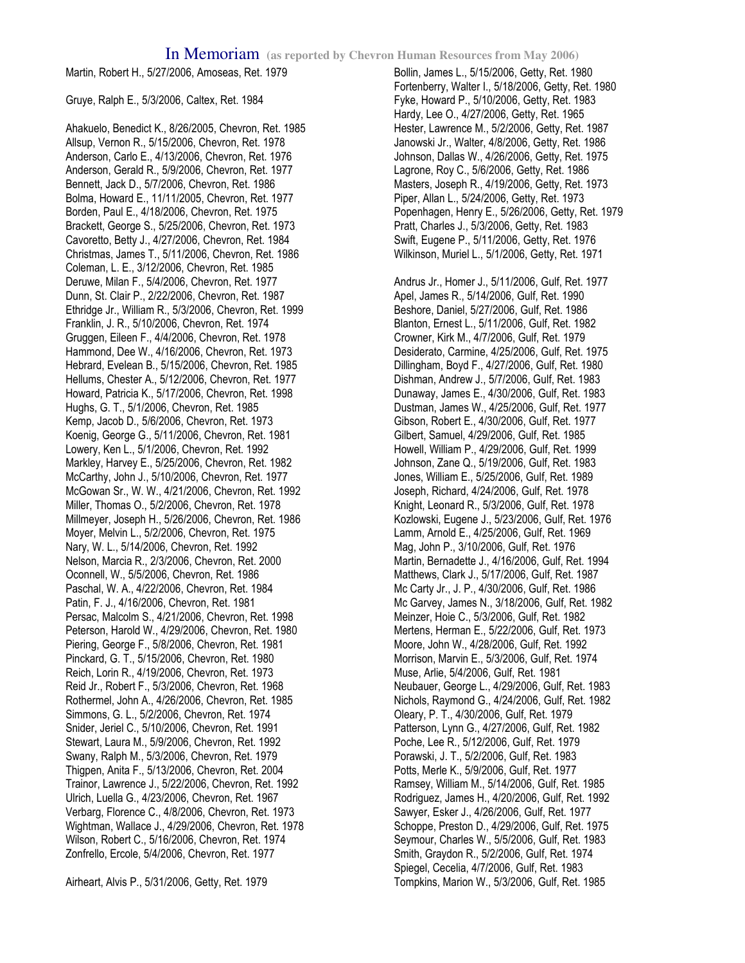Martin, Robert H., 5/27/2006, Amoseas, Ret. 1979

Gruye, Ralph E., 5/3/2006, Caltex, Ret. 1984

Ahakuelo, Benedict K., 8/26/2005, Chevron, Ret. 1985 Allsup, Vernon R., 5/15/2006, Chevron, Ret. 1978 Anderson, Carlo E., 4/13/2006, Chevron, Ret. 1976 Anderson, Gerald R., 5/9/2006, Chevron, Ret. 1977 Bennett, Jack D., 5/7/2006, Chevron, Ret. 1986 Bolma, Howard E., 11/11/2005, Chevron, Ret. 1977 Borden, Paul E., 4/18/2006, Chevron, Ret. 1975 Brackett, George S., 5/25/2006, Chevron, Ret. 1973 Cavoretto, Betty J., 4/27/2006, Chevron, Ret. 1984 Christmas, James T., 5/11/2006, Chevron, Ret. 1986 Coleman, L. E., 3/12/2006, Chevron, Ret. 1985 Deruwe, Milan F., 5/4/2006, Chevron, Ret. 1977 Dunn, St. Clair P., 2/22/2006, Chevron, Ret. 1987 Ethridge Jr., William R., 5/3/2006, Chevron, Ret. 1999 Franklin, J. R., 5/10/2006, Chevron, Ret. 1974 Gruggen, Eileen F., 4/4/2006, Chevron, Ret. 1978 Hammond, Dee W., 4/16/2006, Chevron, Ret. 1973 Hebrard, Evelean B., 5/15/2006, Chevron, Ret. 1985 Hellums, Chester A., 5/12/2006, Chevron, Ret. 1977 Howard, Patricia K., 5/17/2006, Chevron, Ret. 1998 Hughs, G. T., 5/1/2006, Chevron, Ret. 1985 Kemp, Jacob D., 5/6/2006, Chevron, Ret. 1973 Koenig, George G., 5/11/2006, Chevron, Ret. 1981 Lowery, Ken L., 5/1/2006, Chevron, Ret. 1992 Markley, Harvey E., 5/25/2006, Chevron, Ret. 1982 McCarthy, John J., 5/10/2006, Chevron, Ret. 1977 McGowan Sr., W. W., 4/21/2006, Chevron, Ret. 1992 Miller, Thomas O., 5/2/2006, Chevron, Ret. 1978 Millmeyer, Joseph H., 5/26/2006, Chevron, Ret. 1986 Moyer, Melvin L., 5/2/2006, Chevron, Ret. 1975 Nary, W. L., 5/14/2006, Chevron, Ret. 1992 Nelson, Marcia R., 2/3/2006, Chevron, Ret. 2000 Oconnell, W., 5/5/2006, Chevron, Ret. 1986 Paschal, W. A., 4/22/2006, Chevron, Ret. 1984 Patin, F. J., 4/16/2006, Chevron, Ret. 1981 Persac, Malcolm S., 4/21/2006, Chevron, Ret. 1998 Peterson, Harold W., 4/29/2006, Chevron, Ret. 1980 Piering, George F., 5/8/2006, Chevron, Ret. 1981 Pinckard, G. T., 5/15/2006, Chevron, Ret. 1980 Reich, Lorin R., 4/19/2006, Chevron, Ret. 1973 Reid Jr., Robert F., 5/3/2006, Chevron, Ret. 1968 Rothermel, John A., 4/26/2006, Chevron, Ret. 1985 Simmons, G. L., 5/2/2006, Chevron, Ret. 1974 Snider, Jeriel C., 5/10/2006, Chevron, Ret. 1991 Stewart, Laura M., 5/9/2006, Chevron, Ret. 1992 Swany, Ralph M., 5/3/2006, Chevron, Ret. 1979 Thigpen, Anita F., 5/13/2006, Chevron, Ret. 2004 Trainor, Lawrence J., 5/22/2006, Chevron, Ret. 1992 Ulrich, Luella G., 4/23/2006, Chevron, Ret. 1967 Verbarg, Florence C., 4/8/2006, Chevron, Ret. 1973 Wightman, Wallace J., 4/29/2006, Chevron, Ret. 1978 Wilson, Robert C., 5/16/2006, Chevron, Ret. 1974 Zonfrello, Ercole, 5/4/2006, Chevron, Ret. 1977

Airheart, Alvis P., 5/31/2006, Getty, Ret. 1979

Bollin, James L., 5/15/2006, Getty, Ret. 1980 Fortenberry, Walter I., 5/18/2006, Getty, Ret. 1980 Fyke, Howard P., 5/10/2006, Getty, Ret. 1983 Hardy, Lee O., 4/27/2006, Getty, Ret. 1965 Hester, Lawrence M., 5/2/2006, Getty, Ret. 1987 Janowski Jr., Walter, 4/8/2006, Getty, Ret. 1986 Johnson, Dallas W., 4/26/2006, Getty, Ret. 1975 Lagrone, Roy C., 5/6/2006, Getty, Ret. 1986 Masters, Joseph R., 4/19/2006, Getty, Ret. 1973 Piper, Allan L., 5/24/2006, Getty, Ret. 1973 Popenhagen, Henry E., 5/26/2006, Getty, Ret. 1979 Pratt, Charles J., 5/3/2006, Getty, Ret. 1983 Swift, Eugene P., 5/11/2006, Getty, Ret. 1976 Wilkinson, Muriel L., 5/1/2006, Getty, Ret. 1971 Andrus Jr., Homer J., 5/11/2006, Gulf, Ret. 1977 Apel, James R., 5/14/2006, Gulf, Ret. 1990 Beshore, Daniel, 5/27/2006, Gulf, Ret. 1986 Blanton, Ernest L., 5/11/2006, Gulf, Ret. 1982 Crowner, Kirk M., 4/7/2006, Gulf, Ret. 1979 Desiderato, Carmine, 4/25/2006, Gulf, Ret. 1975 Dillingham, Boyd F., 4/27/2006, Gulf, Ret. 1980 Dishman, Andrew J., 5/7/2006, Gulf, Ret. 1983 Dunaway, James E., 4/30/2006, Gulf, Ret. 1983 Dustman, James W., 4/25/2006, Gulf, Ret. 1977 Gibson, Robert E., 4/30/2006, Gulf, Ret. 1977 Gilbert, Samuel, 4/29/2006, Gulf, Ret. 1985 Howell, William P., 4/29/2006, Gulf, Ret. 1999 Johnson, Zane Q., 5/19/2006, Gulf, Ret. 1983 Jones, William E., 5/25/2006, Gulf, Ret. 1989 Joseph, Richard, 4/24/2006, Gulf, Ret. 1978 Knight, Leonard R., 5/3/2006, Gulf, Ret. 1978 Kozlowski, Eugene J., 5/23/2006, Gulf, Ret. 1976 Lamm, Arnold E., 4/25/2006, Gulf, Ret. 1969 Mag, John P., 3/10/2006, Gulf, Ret. 1976 Martin, Bernadette J., 4/16/2006, Gulf, Ret. 1994 Matthews, Clark J., 5/17/2006, Gulf, Ret. 1987 Mc Carty Jr., J. P., 4/30/2006, Gulf, Ret. 1986 Mc Garvey, James N., 3/18/2006, Gulf, Ret. 1982 Meinzer, Hoie C., 5/3/2006, Gulf, Ret. 1982 Mertens, Herman E., 5/22/2006, Gulf, Ret. 1973 Moore, John W., 4/28/2006, Gulf, Ret. 1992 Morrison, Marvin E., 5/3/2006, Gulf, Ret. 1974 Muse, Arlie, 5/4/2006, Gulf, Ret. 1981 Neubauer, George L., 4/29/2006, Gulf, Ret. 1983 Nichols, Raymond G., 4/24/2006, Gulf, Ret. 1982 Oleary, P. T., 4/30/2006, Gulf, Ret. 1979 Patterson, Lynn G., 4/27/2006, Gulf, Ret. 1982 Poche, Lee R., 5/12/2006, Gulf, Ret. 1979 Porawski, J. T., 5/2/2006, Gulf, Ret. 1983 Potts, Merle K., 5/9/2006, Gulf, Ret. 1977 Ramsey, William M., 5/14/2006, Gulf, Ret. 1985 Rodriguez, James H., 4/20/2006, Gulf, Ret. 1992 Sawyer, Esker J., 4/26/2006, Gulf, Ret. 1977 Schoppe, Preston D., 4/29/2006, Gulf, Ret. 1975 Seymour, Charles W., 5/5/2006, Gulf, Ret. 1983 Smith, Graydon R., 5/2/2006, Gulf, Ret. 1974 Spiegel, Cecelia, 4/7/2006, Gulf, Ret. 1983 Tompkins, Marion W., 5/3/2006, Gulf, Ret. 1985